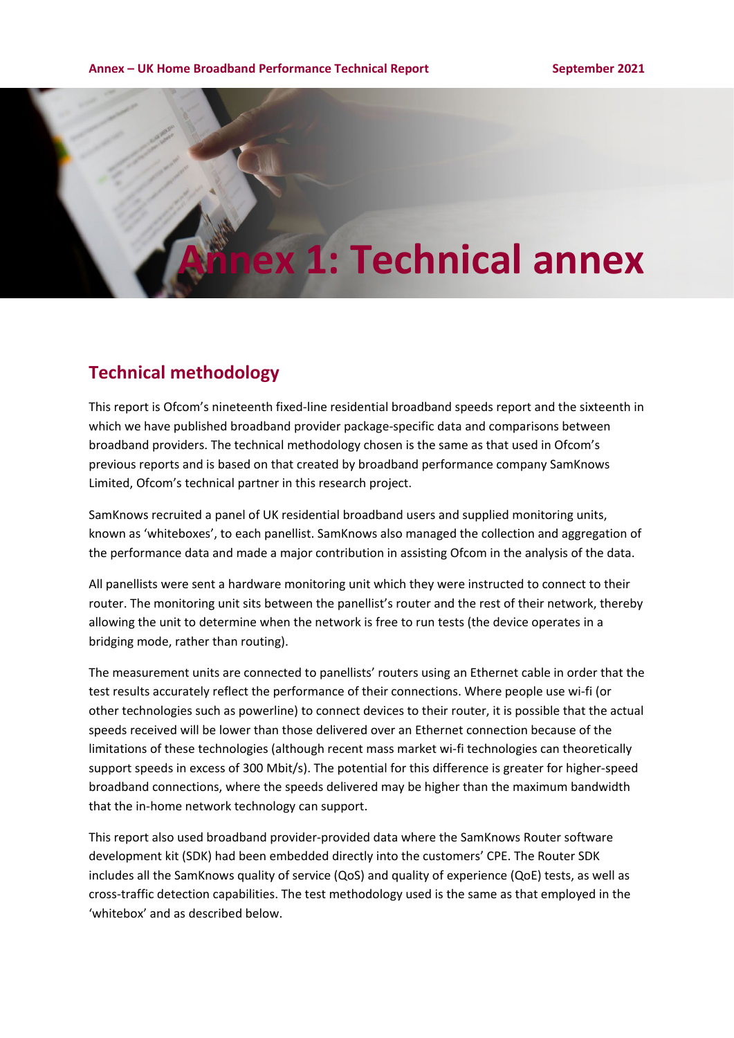# **Annex 1: Technical annex**

# **Technical methodology**

This report is Ofcom's nineteenth fixed-line residential broadband speeds report and the sixteenth in which we have published broadband provider package-specific data and comparisons between broadband providers. The technical methodology chosen is the same as that used in Ofcom's previous reports and is based on that created by broadband performance company SamKnows Limited, Ofcom's technical partner in this research project.

SamKnows recruited a panel of UK residential broadband users and supplied monitoring units, known as 'whiteboxes', to each panellist. SamKnows also managed the collection and aggregation of the performance data and made a major contribution in assisting Ofcom in the analysis of the data.

All panellists were sent a hardware monitoring unit which they were instructed to connect to their router. The monitoring unit sits between the panellist's router and the rest of their network, thereby allowing the unit to determine when the network is free to run tests (the device operates in a bridging mode, rather than routing).

The measurement units are connected to panellists' routers using an Ethernet cable in order that the test results accurately reflect the performance of their connections. Where people use wi-fi (or other technologies such as powerline) to connect devices to their router, it is possible that the actual speeds received will be lower than those delivered over an Ethernet connection because of the limitations of these technologies (although recent mass market wi-fi technologies can theoretically support speeds in excess of 300 Mbit/s). The potential for this difference is greater for higher-speed broadband connections, where the speeds delivered may be higher than the maximum bandwidth that the in-home network technology can support.

This report also used broadband provider-provided data where the SamKnows Router software development kit (SDK) had been embedded directly into the customers' CPE. The Router SDK includes all the SamKnows quality of service (QoS) and quality of experience (QoE) tests, as well as cross-traffic detection capabilities. The test methodology used is the same as that employed in the 'whitebox' and as described below.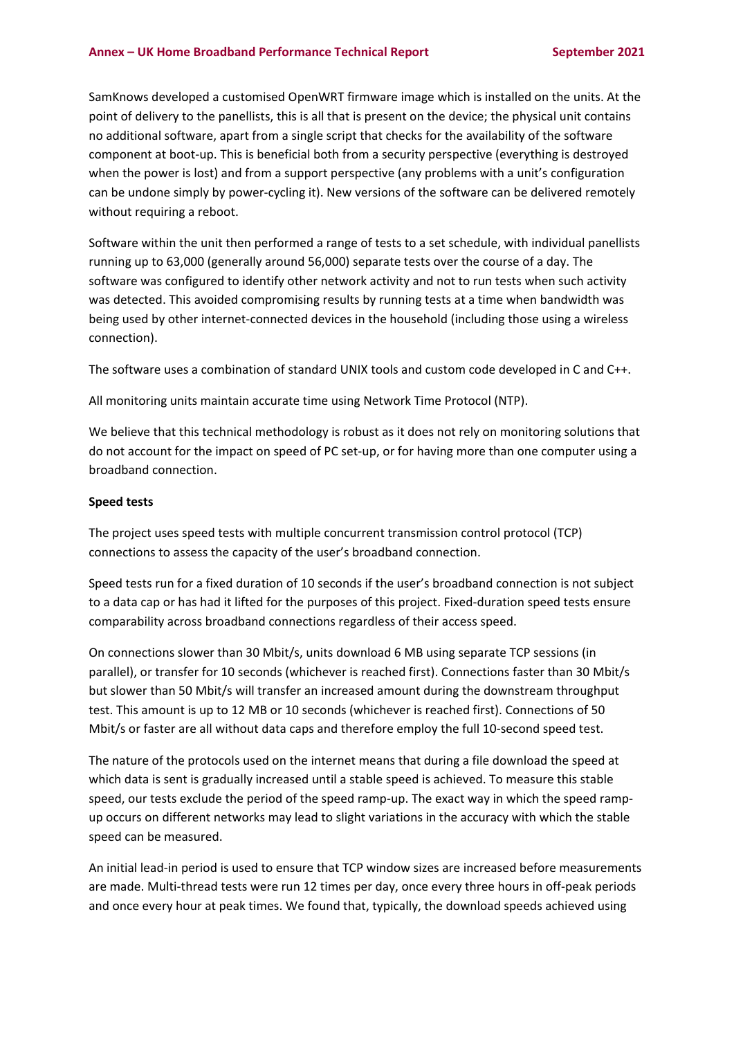#### **Annex – UK Home Broadband Performance Technical Report September 2021**

SamKnows developed a customised OpenWRT firmware image which is installed on the units. At the point of delivery to the panellists, this is all that is present on the device; the physical unit contains no additional software, apart from a single script that checks for the availability of the software component at boot-up. This is beneficial both from a security perspective (everything is destroyed when the power is lost) and from a support perspective (any problems with a unit's configuration can be undone simply by power-cycling it). New versions of the software can be delivered remotely without requiring a reboot.

Software within the unit then performed a range of tests to a set schedule, with individual panellists running up to 63,000 (generally around 56,000) separate tests over the course of a day. The software was configured to identify other network activity and not to run tests when such activity was detected. This avoided compromising results by running tests at a time when bandwidth was being used by other internet-connected devices in the household (including those using a wireless connection).

The software uses a combination of standard UNIX tools and custom code developed in C and C++.

All monitoring units maintain accurate time using Network Time Protocol (NTP).

We believe that this technical methodology is robust as it does not rely on monitoring solutions that do not account for the impact on speed of PC set-up, or for having more than one computer using a broadband connection.

### **Speed tests**

The project uses speed tests with multiple concurrent transmission control protocol (TCP) connections to assess the capacity of the user's broadband connection.

Speed tests run for a fixed duration of 10 seconds if the user's broadband connection is not subject to a data cap or has had it lifted for the purposes of this project. Fixed-duration speed tests ensure comparability across broadband connections regardless of their access speed.

On connections slower than 30 Mbit/s, units download 6 MB using separate TCP sessions (in parallel), or transfer for 10 seconds (whichever is reached first). Connections faster than 30 Mbit/s but slower than 50 Mbit/s will transfer an increased amount during the downstream throughput test. This amount is up to 12 MB or 10 seconds (whichever is reached first). Connections of 50 Mbit/s or faster are all without data caps and therefore employ the full 10-second speed test.

The nature of the protocols used on the internet means that during a file download the speed at which data is sent is gradually increased until a stable speed is achieved. To measure this stable speed, our tests exclude the period of the speed ramp-up. The exact way in which the speed rampup occurs on different networks may lead to slight variations in the accuracy with which the stable speed can be measured.

An initial lead-in period is used to ensure that TCP window sizes are increased before measurements are made. Multi-thread tests were run 12 times per day, once every three hours in off-peak periods and once every hour at peak times. We found that, typically, the download speeds achieved using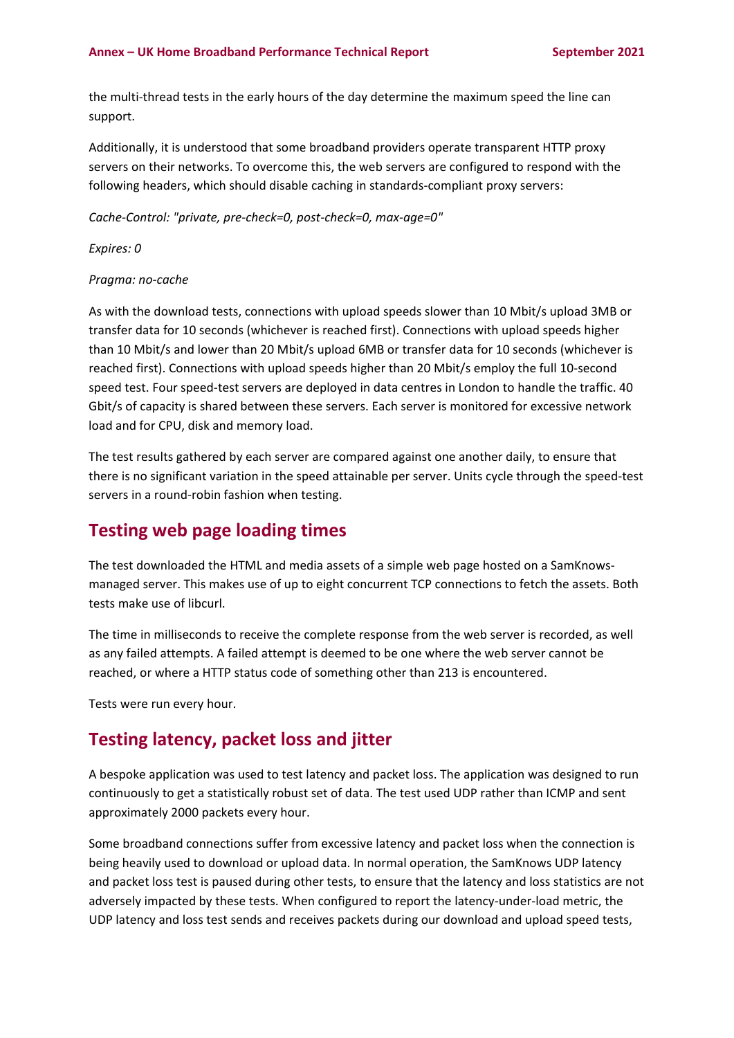the multi-thread tests in the early hours of the day determine the maximum speed the line can support.

Additionally, it is understood that some broadband providers operate transparent HTTP proxy servers on their networks. To overcome this, the web servers are configured to respond with the following headers, which should disable caching in standards-compliant proxy servers:

*Cache-Control: "private, pre-check=0, post-check=0, max-age=0"*

*Expires: 0*

### *Pragma: no-cache*

As with the download tests, connections with upload speeds slower than 10 Mbit/s upload 3MB or transfer data for 10 seconds (whichever is reached first). Connections with upload speeds higher than 10 Mbit/s and lower than 20 Mbit/s upload 6MB or transfer data for 10 seconds (whichever is reached first). Connections with upload speeds higher than 20 Mbit/s employ the full 10-second speed test. Four speed-test servers are deployed in data centres in London to handle the traffic. 40 Gbit/s of capacity is shared between these servers. Each server is monitored for excessive network load and for CPU, disk and memory load.

The test results gathered by each server are compared against one another daily, to ensure that there is no significant variation in the speed attainable per server. Units cycle through the speed-test servers in a round-robin fashion when testing.

## **Testing web page loading times**

The test downloaded the HTML and media assets of a simple web page hosted on a SamKnowsmanaged server. This makes use of up to eight concurrent TCP connections to fetch the assets. Both tests make use of libcurl.

The time in milliseconds to receive the complete response from the web server is recorded, as well as any failed attempts. A failed attempt is deemed to be one where the web server cannot be reached, or where a HTTP status code of something other than 213 is encountered.

Tests were run every hour.

## **Testing latency, packet loss and jitter**

A bespoke application was used to test latency and packet loss. The application was designed to run continuously to get a statistically robust set of data. The test used UDP rather than ICMP and sent approximately 2000 packets every hour.

Some broadband connections suffer from excessive latency and packet loss when the connection is being heavily used to download or upload data. In normal operation, the SamKnows UDP latency and packet loss test is paused during other tests, to ensure that the latency and loss statistics are not adversely impacted by these tests. When configured to report the latency-under-load metric, the UDP latency and loss test sends and receives packets during our download and upload speed tests,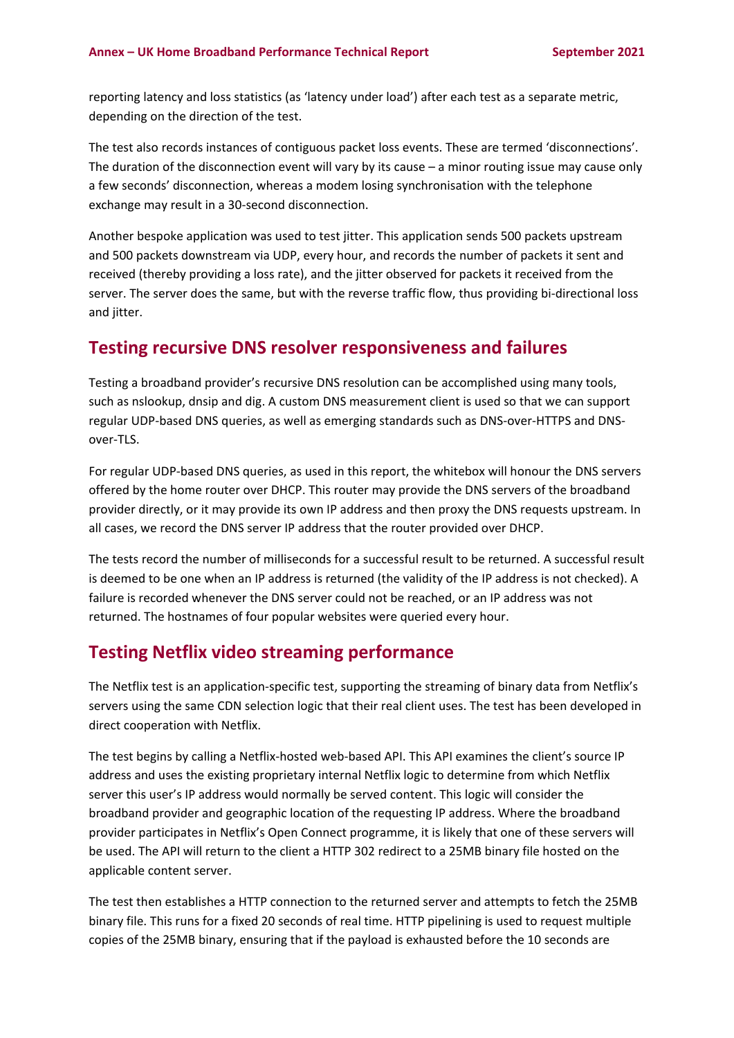reporting latency and loss statistics (as 'latency under load') after each test as a separate metric, depending on the direction of the test.

The test also records instances of contiguous packet loss events. These are termed 'disconnections'. The duration of the disconnection event will vary by its cause – a minor routing issue may cause only a few seconds' disconnection, whereas a modem losing synchronisation with the telephone exchange may result in a 30-second disconnection.

Another bespoke application was used to test jitter. This application sends 500 packets upstream and 500 packets downstream via UDP, every hour, and records the number of packets it sent and received (thereby providing a loss rate), and the jitter observed for packets it received from the server. The server does the same, but with the reverse traffic flow, thus providing bi-directional loss and jitter.

## **Testing recursive DNS resolver responsiveness and failures**

Testing a broadband provider's recursive DNS resolution can be accomplished using many tools, such as nslookup, dnsip and dig. A custom DNS measurement client is used so that we can support regular UDP-based DNS queries, as well as emerging standards such as DNS-over-HTTPS and DNSover-TLS.

For regular UDP-based DNS queries, as used in this report, the whitebox will honour the DNS servers offered by the home router over DHCP. This router may provide the DNS servers of the broadband provider directly, or it may provide its own IP address and then proxy the DNS requests upstream. In all cases, we record the DNS server IP address that the router provided over DHCP.

The tests record the number of milliseconds for a successful result to be returned. A successful result is deemed to be one when an IP address is returned (the validity of the IP address is not checked). A failure is recorded whenever the DNS server could not be reached, or an IP address was not returned. The hostnames of four popular websites were queried every hour.

## **Testing Netflix video streaming performance**

The Netflix test is an application-specific test, supporting the streaming of binary data from Netflix's servers using the same CDN selection logic that their real client uses. The test has been developed in direct cooperation with Netflix.

The test begins by calling a Netflix-hosted web-based API. This API examines the client's source IP address and uses the existing proprietary internal Netflix logic to determine from which Netflix server this user's IP address would normally be served content. This logic will consider the broadband provider and geographic location of the requesting IP address. Where the broadband provider participates in Netflix's Open Connect programme, it is likely that one of these servers will be used. The API will return to the client a HTTP 302 redirect to a 25MB binary file hosted on the applicable content server.

The test then establishes a HTTP connection to the returned server and attempts to fetch the 25MB binary file. This runs for a fixed 20 seconds of real time. HTTP pipelining is used to request multiple copies of the 25MB binary, ensuring that if the payload is exhausted before the 10 seconds are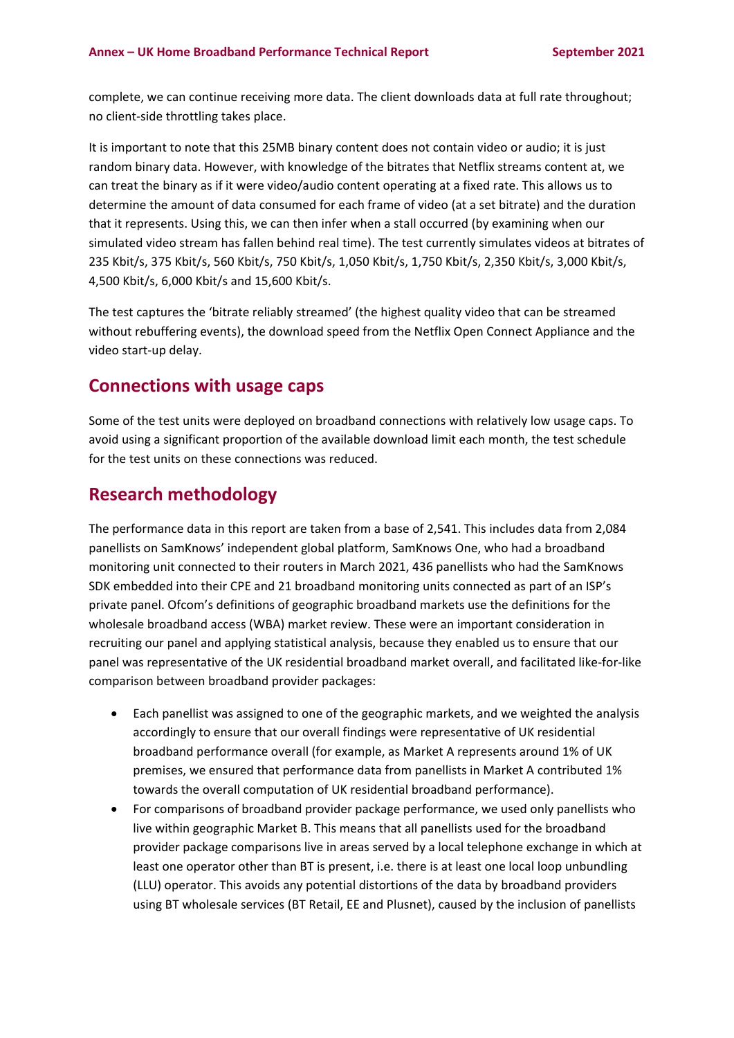complete, we can continue receiving more data. The client downloads data at full rate throughout; no client-side throttling takes place.

It is important to note that this 25MB binary content does not contain video or audio; it is just random binary data. However, with knowledge of the bitrates that Netflix streams content at, we can treat the binary as if it were video/audio content operating at a fixed rate. This allows us to determine the amount of data consumed for each frame of video (at a set bitrate) and the duration that it represents. Using this, we can then infer when a stall occurred (by examining when our simulated video stream has fallen behind real time). The test currently simulates videos at bitrates of 235 Kbit/s, 375 Kbit/s, 560 Kbit/s, 750 Kbit/s, 1,050 Kbit/s, 1,750 Kbit/s, 2,350 Kbit/s, 3,000 Kbit/s, 4,500 Kbit/s, 6,000 Kbit/s and 15,600 Kbit/s.

The test captures the 'bitrate reliably streamed' (the highest quality video that can be streamed without rebuffering events), the download speed from the Netflix Open Connect Appliance and the video start-up delay.

## **Connections with usage caps**

Some of the test units were deployed on broadband connections with relatively low usage caps. To avoid using a significant proportion of the available download limit each month, the test schedule for the test units on these connections was reduced.

## **Research methodology**

The performance data in this report are taken from a base of 2,541. This includes data from 2,084 panellists on SamKnows' independent global platform, SamKnows One, who had a broadband monitoring unit connected to their routers in March 2021, 436 panellists who had the SamKnows SDK embedded into their CPE and 21 broadband monitoring units connected as part of an ISP's private panel. Ofcom's definitions of geographic broadband markets use the definitions for the wholesale broadband access (WBA) market review. These were an important consideration in recruiting our panel and applying statistical analysis, because they enabled us to ensure that our panel was representative of the UK residential broadband market overall, and facilitated like-for-like comparison between broadband provider packages:

- Each panellist was assigned to one of the geographic markets, and we weighted the analysis accordingly to ensure that our overall findings were representative of UK residential broadband performance overall (for example, as Market A represents around 1% of UK premises, we ensured that performance data from panellists in Market A contributed 1% towards the overall computation of UK residential broadband performance).
- For comparisons of broadband provider package performance, we used only panellists who live within geographic Market B. This means that all panellists used for the broadband provider package comparisons live in areas served by a local telephone exchange in which at least one operator other than BT is present, i.e. there is at least one local loop unbundling (LLU) operator. This avoids any potential distortions of the data by broadband providers using BT wholesale services (BT Retail, EE and Plusnet), caused by the inclusion of panellists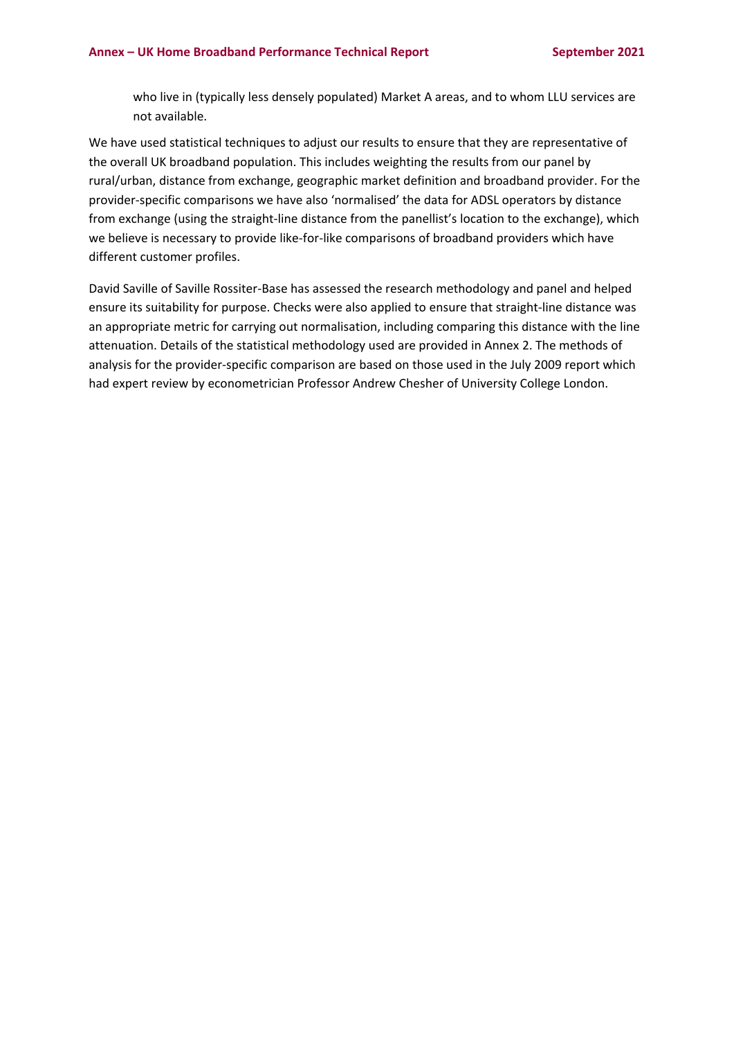who live in (typically less densely populated) Market A areas, and to whom LLU services are not available.

We have used statistical techniques to adjust our results to ensure that they are representative of the overall UK broadband population. This includes weighting the results from our panel by rural/urban, distance from exchange, geographic market definition and broadband provider. For the provider-specific comparisons we have also 'normalised' the data for ADSL operators by distance from exchange (using the straight-line distance from the panellist's location to the exchange), which we believe is necessary to provide like-for-like comparisons of broadband providers which have different customer profiles.

David Saville of Saville Rossiter-Base has assessed the research methodology and panel and helped ensure its suitability for purpose. Checks were also applied to ensure that straight-line distance was an appropriate metric for carrying out normalisation, including comparing this distance with the line attenuation. Details of the statistical methodology used are provided in Annex 2. The methods of analysis for the provider-specific comparison are based on those used in the July 2009 report which had expert review by econometrician Professor Andrew Chesher of University College London.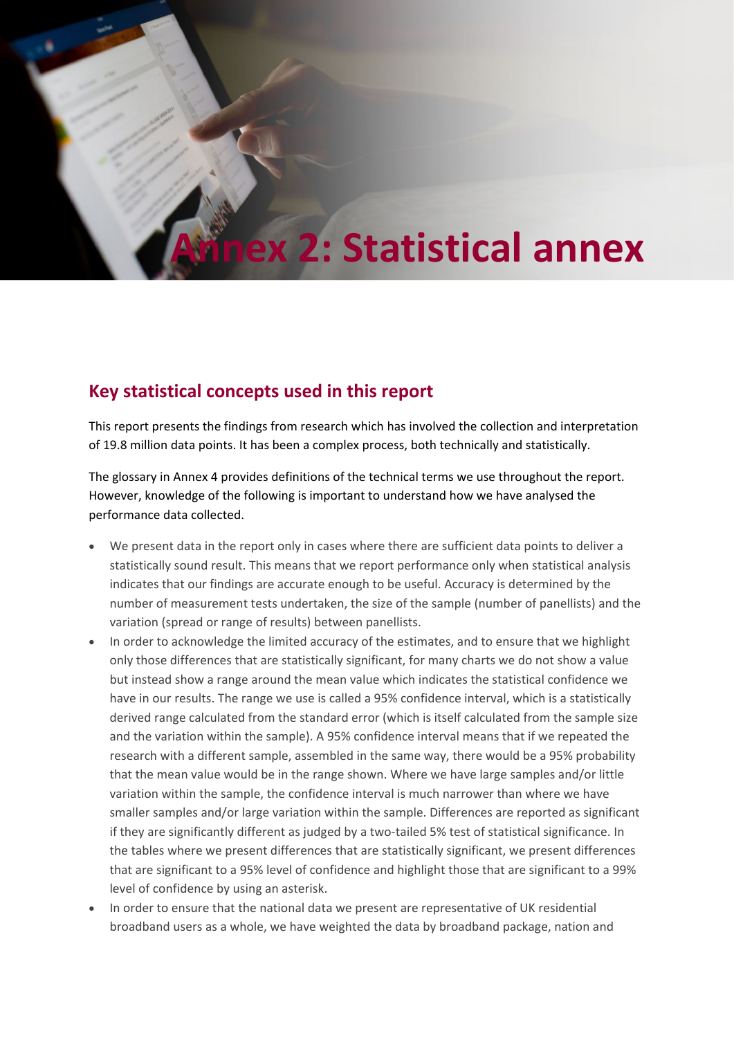# **2: Statistical annex**

## **Key statistical concepts used in this report**

This report presents the findings from research which has involved the collection and interpretation of 19.8 million data points. It has been a complex process, both technically and statistically.

The glossary in Annex 4 provides definitions of the technical terms we use throughout the report. However, knowledge of the following is important to understand how we have analysed the performance data collected.

- We present data in the report only in cases where there are sufficient data points to deliver a statistically sound result. This means that we report performance only when statistical analysis indicates that our findings are accurate enough to be useful. Accuracy is determined by the number of measurement tests undertaken, the size of the sample (number of panellists) and the variation (spread or range of results) between panellists.
- In order to acknowledge the limited accuracy of the estimates, and to ensure that we highlight only those differences that are statistically significant, for many charts we do not show a value but instead show a range around the mean value which indicates the statistical confidence we have in our results. The range we use is called a 95% confidence interval, which is a statistically derived range calculated from the standard error (which is itself calculated from the sample size and the variation within the sample). A 95% confidence interval means that if we repeated the research with a different sample, assembled in the same way, there would be a 95% probability that the mean value would be in the range shown. Where we have large samples and/or little variation within the sample, the confidence interval is much narrower than where we have smaller samples and/or large variation within the sample. Differences are reported as significant if they are significantly different as judged by a two-tailed 5% test of statistical significance. In the tables where we present differences that are statistically significant, we present differences that are significant to a 95% level of confidence and highlight those that are significant to a 99% level of confidence by using an asterisk.
- In order to ensure that the national data we present are representative of UK residential broadband users as a whole, we have weighted the data by broadband package, nation and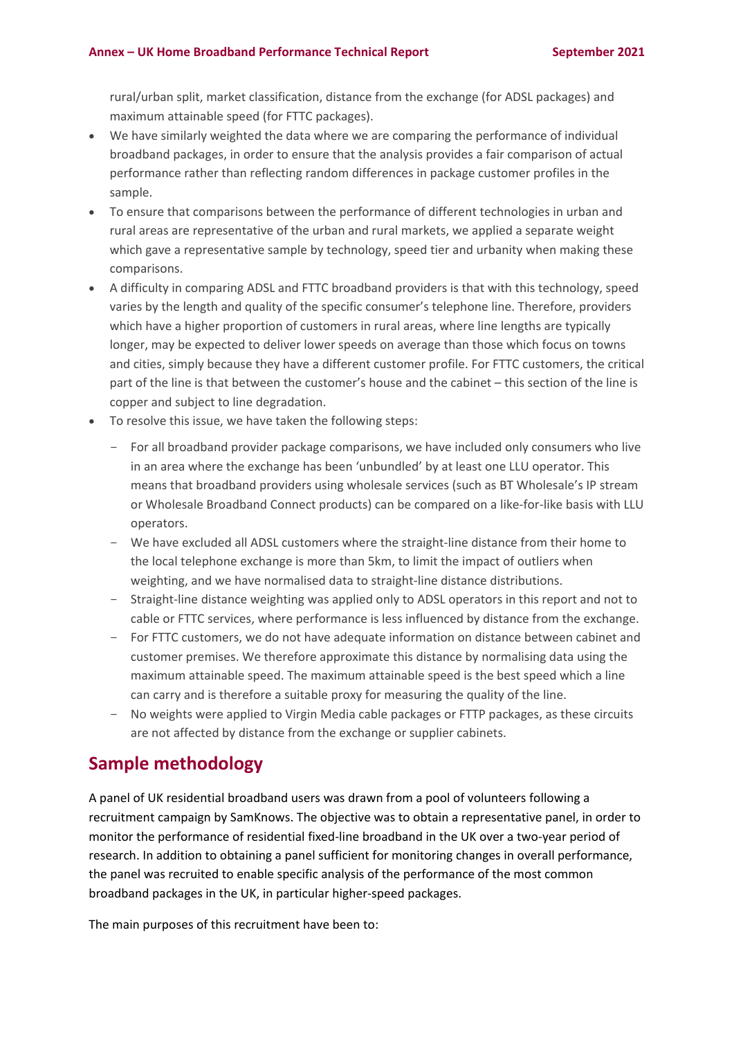rural/urban split, market classification, distance from the exchange (for ADSL packages) and maximum attainable speed (for FTTC packages).

- We have similarly weighted the data where we are comparing the performance of individual broadband packages, in order to ensure that the analysis provides a fair comparison of actual performance rather than reflecting random differences in package customer profiles in the sample.
- To ensure that comparisons between the performance of different technologies in urban and rural areas are representative of the urban and rural markets, we applied a separate weight which gave a representative sample by technology, speed tier and urbanity when making these comparisons.
- A difficulty in comparing ADSL and FTTC broadband providers is that with this technology, speed varies by the length and quality of the specific consumer's telephone line. Therefore, providers which have a higher proportion of customers in rural areas, where line lengths are typically longer, may be expected to deliver lower speeds on average than those which focus on towns and cities, simply because they have a different customer profile. For FTTC customers, the critical part of the line is that between the customer's house and the cabinet – this section of the line is copper and subject to line degradation.
- To resolve this issue, we have taken the following steps:
	- For all broadband provider package comparisons, we have included only consumers who live in an area where the exchange has been 'unbundled' by at least one LLU operator. This means that broadband providers using wholesale services (such as BT Wholesale's IP stream or Wholesale Broadband Connect products) can be compared on a like-for-like basis with LLU operators.
	- We have excluded all ADSL customers where the straight-line distance from their home to the local telephone exchange is more than 5km, to limit the impact of outliers when weighting, and we have normalised data to straight-line distance distributions.
	- Straight-line distance weighting was applied only to ADSL operators in this report and not to cable or FTTC services, where performance is less influenced by distance from the exchange.
	- For FTTC customers, we do not have adequate information on distance between cabinet and customer premises. We therefore approximate this distance by normalising data using the maximum attainable speed. The maximum attainable speed is the best speed which a line can carry and is therefore a suitable proxy for measuring the quality of the line.
	- No weights were applied to Virgin Media cable packages or FTTP packages, as these circuits are not affected by distance from the exchange or supplier cabinets.

# **Sample methodology**

A panel of UK residential broadband users was drawn from a pool of volunteers following a recruitment campaign by SamKnows. The objective was to obtain a representative panel, in order to monitor the performance of residential fixed-line broadband in the UK over a two-year period of research. In addition to obtaining a panel sufficient for monitoring changes in overall performance, the panel was recruited to enable specific analysis of the performance of the most common broadband packages in the UK, in particular higher-speed packages.

The main purposes of this recruitment have been to: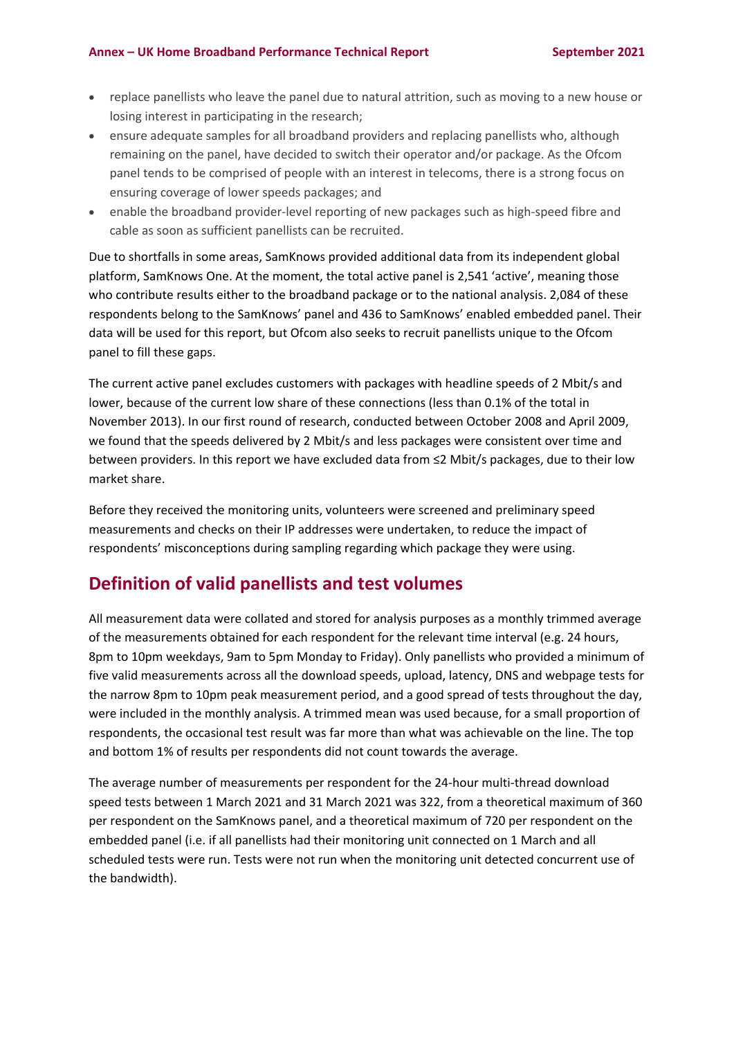- replace panellists who leave the panel due to natural attrition, such as moving to a new house or losing interest in participating in the research;
- ensure adequate samples for all broadband providers and replacing panellists who, although remaining on the panel, have decided to switch their operator and/or package. As the Ofcom panel tends to be comprised of people with an interest in telecoms, there is a strong focus on ensuring coverage of lower speeds packages; and
- enable the broadband provider-level reporting of new packages such as high-speed fibre and cable as soon as sufficient panellists can be recruited.

Due to shortfalls in some areas, SamKnows provided additional data from its independent global platform, SamKnows One. At the moment, the total active panel is 2,541 'active', meaning those who contribute results either to the broadband package or to the national analysis. 2,084 of these respondents belong to the SamKnows' panel and 436 to SamKnows' enabled embedded panel. Their data will be used for this report, but Ofcom also seeks to recruit panellists unique to the Ofcom panel to fill these gaps.

The current active panel excludes customers with packages with headline speeds of 2 Mbit/s and lower, because of the current low share of these connections (less than 0.1% of the total in November 2013). In our first round of research, conducted between October 2008 and April 2009, we found that the speeds delivered by 2 Mbit/s and less packages were consistent over time and between providers. In this report we have excluded data from ≤2 Mbit/s packages, due to their low market share.

Before they received the monitoring units, volunteers were screened and preliminary speed measurements and checks on their IP addresses were undertaken, to reduce the impact of respondents' misconceptions during sampling regarding which package they were using.

## **Definition of valid panellists and test volumes**

All measurement data were collated and stored for analysis purposes as a monthly trimmed average of the measurements obtained for each respondent for the relevant time interval (e.g. 24 hours, 8pm to 10pm weekdays, 9am to 5pm Monday to Friday). Only panellists who provided a minimum of five valid measurements across all the download speeds, upload, latency, DNS and webpage tests for the narrow 8pm to 10pm peak measurement period, and a good spread of tests throughout the day, were included in the monthly analysis. A trimmed mean was used because, for a small proportion of respondents, the occasional test result was far more than what was achievable on the line. The top and bottom 1% of results per respondents did not count towards the average.

The average number of measurements per respondent for the 24-hour multi-thread download speed tests between 1 March 2021 and 31 March 2021 was 322, from a theoretical maximum of 360 per respondent on the SamKnows panel, and a theoretical maximum of 720 per respondent on the embedded panel (i.e. if all panellists had their monitoring unit connected on 1 March and all scheduled tests were run. Tests were not run when the monitoring unit detected concurrent use of the bandwidth).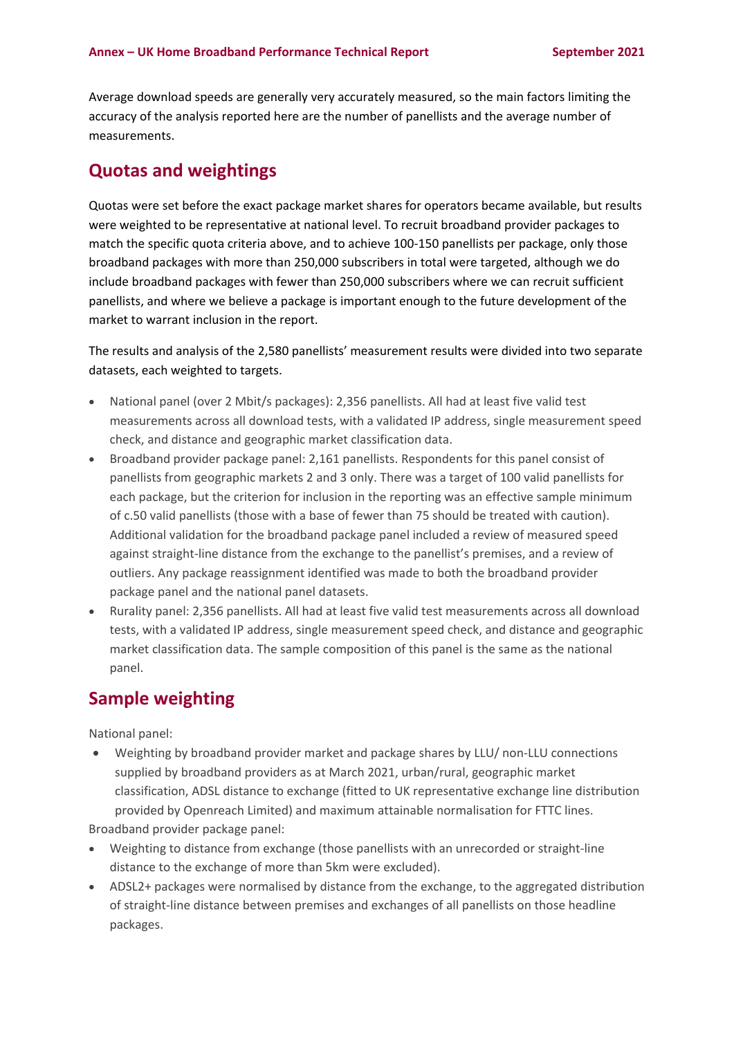Average download speeds are generally very accurately measured, so the main factors limiting the accuracy of the analysis reported here are the number of panellists and the average number of measurements.

### **Quotas and weightings**

Quotas were set before the exact package market shares for operators became available, but results were weighted to be representative at national level. To recruit broadband provider packages to match the specific quota criteria above, and to achieve 100-150 panellists per package, only those broadband packages with more than 250,000 subscribers in total were targeted, although we do include broadband packages with fewer than 250,000 subscribers where we can recruit sufficient panellists, and where we believe a package is important enough to the future development of the market to warrant inclusion in the report.

The results and analysis of the 2,580 panellists' measurement results were divided into two separate datasets, each weighted to targets.

- National panel (over 2 Mbit/s packages): 2,356 panellists. All had at least five valid test measurements across all download tests, with a validated IP address, single measurement speed check, and distance and geographic market classification data.
- Broadband provider package panel: 2,161 panellists. Respondents for this panel consist of panellists from geographic markets 2 and 3 only. There was a target of 100 valid panellists for each package, but the criterion for inclusion in the reporting was an effective sample minimum of c.50 valid panellists (those with a base of fewer than 75 should be treated with caution). Additional validation for the broadband package panel included a review of measured speed against straight-line distance from the exchange to the panellist's premises, and a review of outliers. Any package reassignment identified was made to both the broadband provider package panel and the national panel datasets.
- Rurality panel: 2,356 panellists. All had at least five valid test measurements across all download tests, with a validated IP address, single measurement speed check, and distance and geographic market classification data. The sample composition of this panel is the same as the national panel.

## **Sample weighting**

National panel:

• Weighting by broadband provider market and package shares by LLU/ non-LLU connections supplied by broadband providers as at March 2021, urban/rural, geographic market classification, ADSL distance to exchange (fitted to UK representative exchange line distribution provided by Openreach Limited) and maximum attainable normalisation for FTTC lines.

Broadband provider package panel:

- Weighting to distance from exchange (those panellists with an unrecorded or straight-line distance to the exchange of more than 5km were excluded).
- ADSL2+ packages were normalised by distance from the exchange, to the aggregated distribution of straight-line distance between premises and exchanges of all panellists on those headline packages.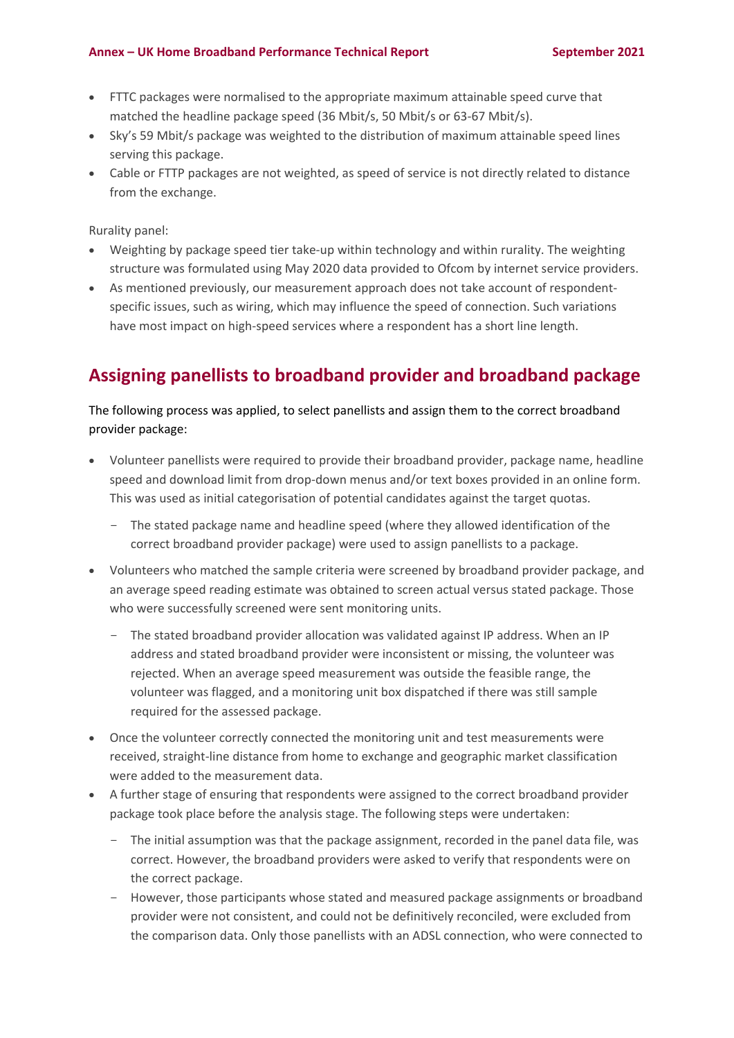### **Annex – UK Home Broadband Performance Technical Report September 2021**

- FTTC packages were normalised to the appropriate maximum attainable speed curve that matched the headline package speed (36 Mbit/s, 50 Mbit/s or 63-67 Mbit/s).
- Sky's 59 Mbit/s package was weighted to the distribution of maximum attainable speed lines serving this package.
- Cable or FTTP packages are not weighted, as speed of service is not directly related to distance from the exchange.

Rurality panel:

- Weighting by package speed tier take-up within technology and within rurality. The weighting structure was formulated using May 2020 data provided to Ofcom by internet service providers.
- As mentioned previously, our measurement approach does not take account of respondentspecific issues, such as wiring, which may influence the speed of connection. Such variations have most impact on high-speed services where a respondent has a short line length.

## **Assigning panellists to broadband provider and broadband package**

The following process was applied, to select panellists and assign them to the correct broadband provider package:

- Volunteer panellists were required to provide their broadband provider, package name, headline speed and download limit from drop-down menus and/or text boxes provided in an online form. This was used as initial categorisation of potential candidates against the target quotas.
	- The stated package name and headline speed (where they allowed identification of the correct broadband provider package) were used to assign panellists to a package.
- Volunteers who matched the sample criteria were screened by broadband provider package, and an average speed reading estimate was obtained to screen actual versus stated package. Those who were successfully screened were sent monitoring units.
	- The stated broadband provider allocation was validated against IP address. When an IP address and stated broadband provider were inconsistent or missing, the volunteer was rejected. When an average speed measurement was outside the feasible range, the volunteer was flagged, and a monitoring unit box dispatched if there was still sample required for the assessed package.
- Once the volunteer correctly connected the monitoring unit and test measurements were received, straight-line distance from home to exchange and geographic market classification were added to the measurement data.
- A further stage of ensuring that respondents were assigned to the correct broadband provider package took place before the analysis stage. The following steps were undertaken:
	- The initial assumption was that the package assignment, recorded in the panel data file, was correct. However, the broadband providers were asked to verify that respondents were on the correct package.
	- However, those participants whose stated and measured package assignments or broadband provider were not consistent, and could not be definitively reconciled, were excluded from the comparison data. Only those panellists with an ADSL connection, who were connected to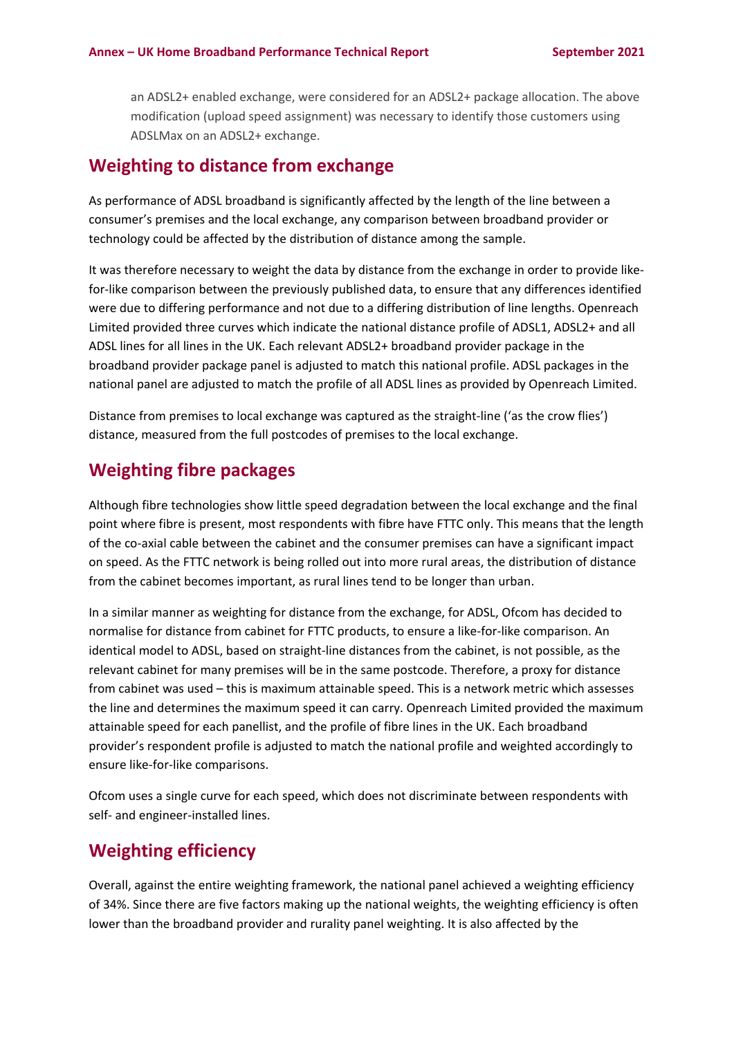an ADSL2+ enabled exchange, were considered for an ADSL2+ package allocation. The above modification (upload speed assignment) was necessary to identify those customers using ADSLMax on an ADSL2+ exchange.

## **Weighting to distance from exchange**

As performance of ADSL broadband is significantly affected by the length of the line between a consumer's premises and the local exchange, any comparison between broadband provider or technology could be affected by the distribution of distance among the sample.

It was therefore necessary to weight the data by distance from the exchange in order to provide likefor-like comparison between the previously published data, to ensure that any differences identified were due to differing performance and not due to a differing distribution of line lengths. Openreach Limited provided three curves which indicate the national distance profile of ADSL1, ADSL2+ and all ADSL lines for all lines in the UK. Each relevant ADSL2+ broadband provider package in the broadband provider package panel is adjusted to match this national profile. ADSL packages in the national panel are adjusted to match the profile of all ADSL lines as provided by Openreach Limited.

Distance from premises to local exchange was captured as the straight-line ('as the crow flies') distance, measured from the full postcodes of premises to the local exchange.

## **Weighting fibre packages**

Although fibre technologies show little speed degradation between the local exchange and the final point where fibre is present, most respondents with fibre have FTTC only. This means that the length of the co-axial cable between the cabinet and the consumer premises can have a significant impact on speed. As the FTTC network is being rolled out into more rural areas, the distribution of distance from the cabinet becomes important, as rural lines tend to be longer than urban.

In a similar manner as weighting for distance from the exchange, for ADSL, Ofcom has decided to normalise for distance from cabinet for FTTC products, to ensure a like-for-like comparison. An identical model to ADSL, based on straight-line distances from the cabinet, is not possible, as the relevant cabinet for many premises will be in the same postcode. Therefore, a proxy for distance from cabinet was used – this is maximum attainable speed. This is a network metric which assesses the line and determines the maximum speed it can carry. Openreach Limited provided the maximum attainable speed for each panellist, and the profile of fibre lines in the UK. Each broadband provider's respondent profile is adjusted to match the national profile and weighted accordingly to ensure like-for-like comparisons.

Ofcom uses a single curve for each speed, which does not discriminate between respondents with self- and engineer-installed lines.

## **Weighting efficiency**

Overall, against the entire weighting framework, the national panel achieved a weighting efficiency of 34%. Since there are five factors making up the national weights, the weighting efficiency is often lower than the broadband provider and rurality panel weighting. It is also affected by the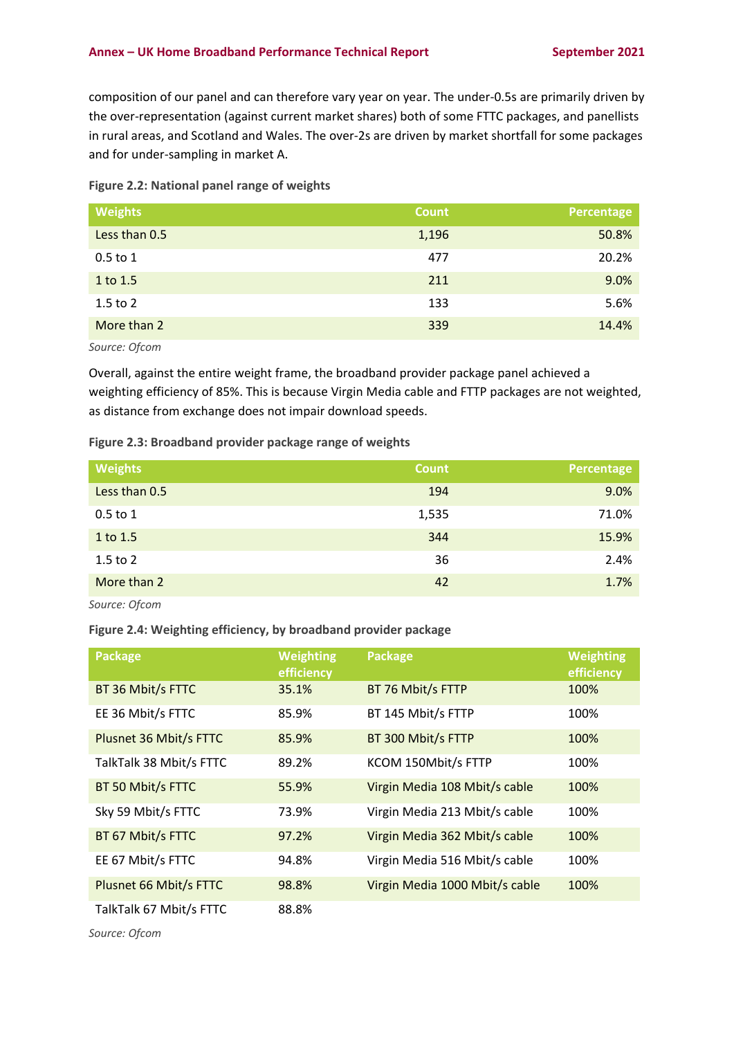composition of our panel and can therefore vary year on year. The under-0.5s are primarily driven by the over-representation (against current market shares) both of some FTTC packages, and panellists in rural areas, and Scotland and Wales. The over-2s are driven by market shortfall for some packages and for under-sampling in market A.

|  | Figure 2.2: National panel range of weights |  |  |
|--|---------------------------------------------|--|--|
|--|---------------------------------------------|--|--|

| <b>Weights</b> | <b>Count</b> | Percentage |
|----------------|--------------|------------|
| Less than 0.5  | 1,196        | 50.8%      |
| $0.5$ to 1     | 477          | 20.2%      |
| 1 to 1.5       | 211          | 9.0%       |
| $1.5$ to $2$   | 133          | 5.6%       |
| More than 2    | 339          | 14.4%      |

*Source: Ofcom*

Overall, against the entire weight frame, the broadband provider package panel achieved a weighting efficiency of 85%. This is because Virgin Media cable and FTTP packages are not weighted, as distance from exchange does not impair download speeds.

### **Figure 2.3: Broadband provider package range of weights**

| <b>Weights</b> | <b>Count</b> | Percentage |
|----------------|--------------|------------|
| Less than 0.5  | 194          | 9.0%       |
| $0.5$ to $1$   | 1,535        | 71.0%      |
| 1 to 1.5       | 344          | 15.9%      |
| $1.5$ to $2$   | 36           | 2.4%       |
| More than 2    | 42           | 1.7%       |
| Source: Ofcom  |              |            |

**Figure 2.4: Weighting efficiency, by broadband provider package**

| <b>Package</b>          | <b>Weighting</b><br>efficiency | Package                        | <b>Weighting</b><br>efficiency |
|-------------------------|--------------------------------|--------------------------------|--------------------------------|
| BT 36 Mbit/s FTTC       | 35.1%                          | BT 76 Mbit/s FTTP              | 100%                           |
| EE 36 Mbit/s FTTC       | 85.9%                          | BT 145 Mbit/s FTTP             | 100%                           |
| Plusnet 36 Mbit/s FTTC  | 85.9%                          | BT 300 Mbit/s FTTP             | 100%                           |
| TalkTalk 38 Mbit/s FTTC | 89.2%                          | KCOM 150Mbit/s FTTP            | 100%                           |
| BT 50 Mbit/s FTTC       | 55.9%                          | Virgin Media 108 Mbit/s cable  | 100%                           |
| Sky 59 Mbit/s FTTC      | 73.9%                          | Virgin Media 213 Mbit/s cable  | 100%                           |
| BT 67 Mbit/s FTTC       | 97.2%                          | Virgin Media 362 Mbit/s cable  | 100%                           |
| EE 67 Mbit/s FTTC       | 94.8%                          | Virgin Media 516 Mbit/s cable  | 100%                           |
| Plusnet 66 Mbit/s FTTC  | 98.8%                          | Virgin Media 1000 Mbit/s cable | 100%                           |
| TalkTalk 67 Mbit/s FTTC | 88.8%                          |                                |                                |

*Source: Ofcom*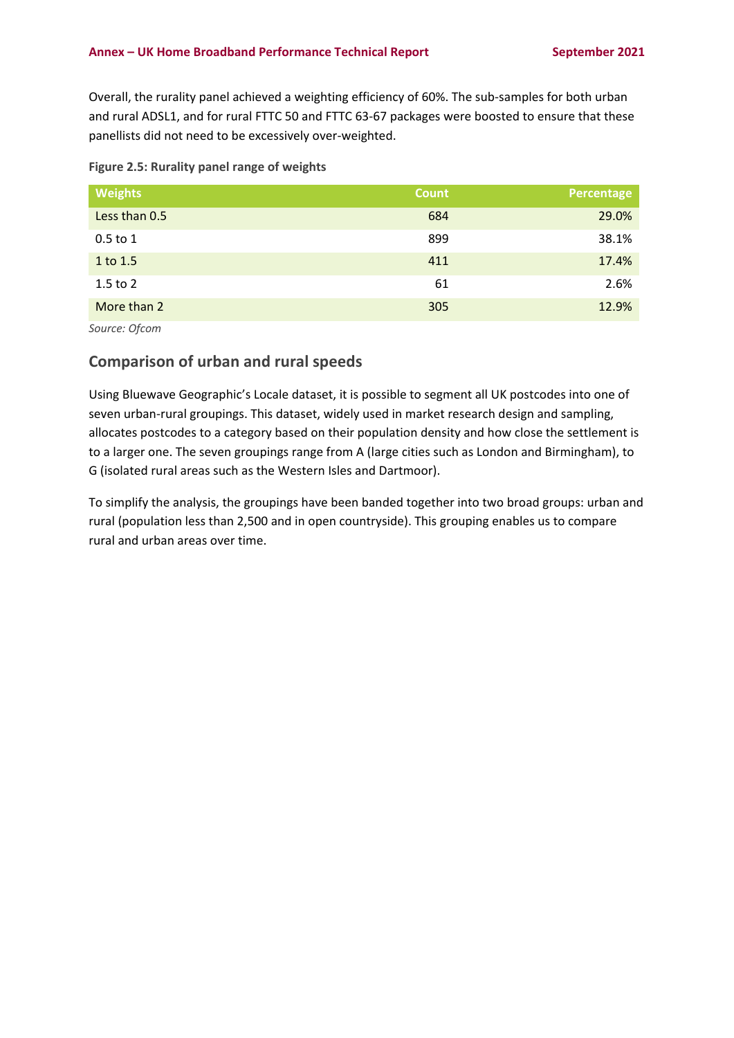Overall, the rurality panel achieved a weighting efficiency of 60%. The sub-samples for both urban and rural ADSL1, and for rural FTTC 50 and FTTC 63-67 packages were boosted to ensure that these panellists did not need to be excessively over-weighted.

| <b>Weights</b> | <b>Count</b> | Percentage |
|----------------|--------------|------------|
| Less than 0.5  | 684          | 29.0%      |
| $0.5$ to 1     | 899          | 38.1%      |
| 1 to 1.5       | 411          | 17.4%      |
| $1.5$ to $2$   | 61           | 2.6%       |
| More than 2    | 305          | 12.9%      |

*Source: Ofcom*

### **Comparison of urban and rural speeds**

Using Bluewave Geographic's Locale dataset, it is possible to segment all UK postcodes into one of seven urban-rural groupings. This dataset, widely used in market research design and sampling, allocates postcodes to a category based on their population density and how close the settlement is to a larger one. The seven groupings range from A (large cities such as London and Birmingham), to G (isolated rural areas such as the Western Isles and Dartmoor).

To simplify the analysis, the groupings have been banded together into two broad groups: urban and rural (population less than 2,500 and in open countryside). This grouping enables us to compare rural and urban areas over time.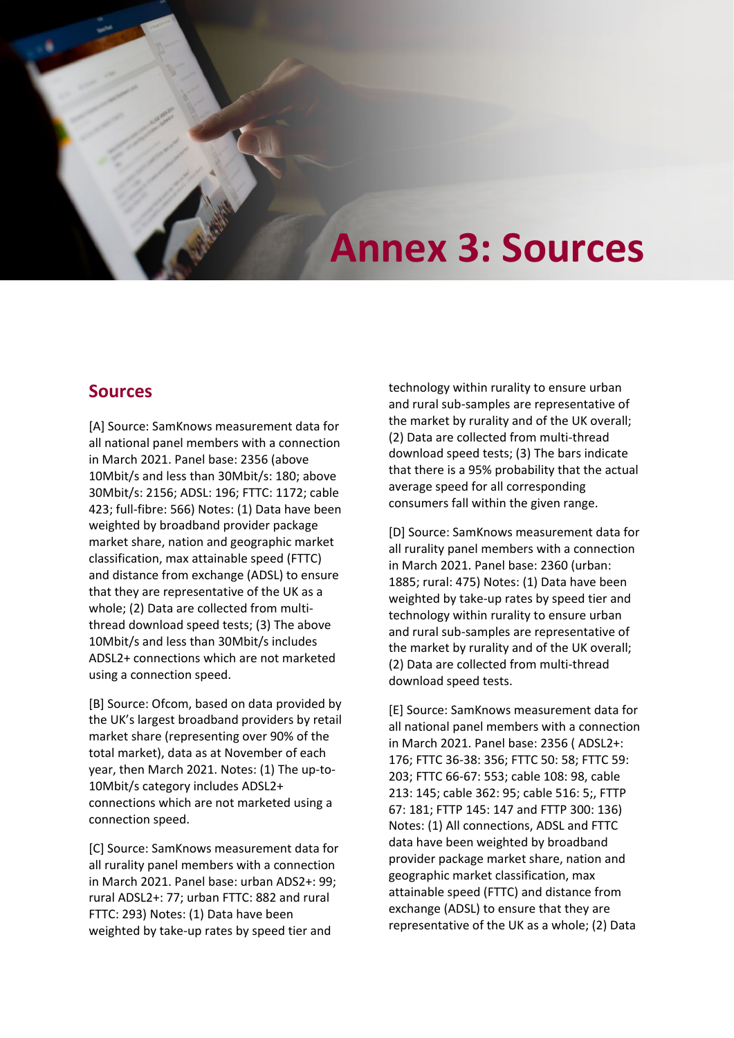# **Annex 3: Sources**

## **Sources**

[A] Source: SamKnows measurement data for all national panel members with a connection in March 2021. Panel base: 2356 (above 10Mbit/s and less than 30Mbit/s: 180; above 30Mbit/s: 2156; ADSL: 196; FTTC: 1172; cable 423; full-fibre: 566) Notes: (1) Data have been weighted by broadband provider package market share, nation and geographic market classification, max attainable speed (FTTC) and distance from exchange (ADSL) to ensure that they are representative of the UK as a whole; (2) Data are collected from multithread download speed tests; (3) The above 10Mbit/s and less than 30Mbit/s includes ADSL2+ connections which are not marketed using a connection speed.

[B] Source: Ofcom, based on data provided by the UK's largest broadband providers by retail market share (representing over 90% of the total market), data as at November of each year, then March 2021. Notes: (1) The up-to-10Mbit/s category includes ADSL2+ connections which are not marketed using a connection speed.

[C] Source: SamKnows measurement data for all rurality panel members with a connection in March 2021. Panel base: urban ADS2+: 99; rural ADSL2+: 77; urban FTTC: 882 and rural FTTC: 293) Notes: (1) Data have been weighted by take-up rates by speed tier and

technology within rurality to ensure urban and rural sub-samples are representative of the market by rurality and of the UK overall; (2) Data are collected from multi-thread download speed tests; (3) The bars indicate that there is a 95% probability that the actual average speed for all corresponding consumers fall within the given range.

[D] Source: SamKnows measurement data for all rurality panel members with a connection in March 2021. Panel base: 2360 (urban: 1885; rural: 475) Notes: (1) Data have been weighted by take-up rates by speed tier and technology within rurality to ensure urban and rural sub-samples are representative of the market by rurality and of the UK overall; (2) Data are collected from multi-thread download speed tests.

[E] Source: SamKnows measurement data for all national panel members with a connection in March 2021. Panel base: 2356 ( ADSL2+: 176; FTTC 36-38: 356; FTTC 50: 58; FTTC 59: 203; FTTC 66-67: 553; cable 108: 98, cable 213: 145; cable 362: 95; cable 516: 5;, FTTP 67: 181; FTTP 145: 147 and FTTP 300: 136) Notes: (1) All connections, ADSL and FTTC data have been weighted by broadband provider package market share, nation and geographic market classification, max attainable speed (FTTC) and distance from exchange (ADSL) to ensure that they are representative of the UK as a whole; (2) Data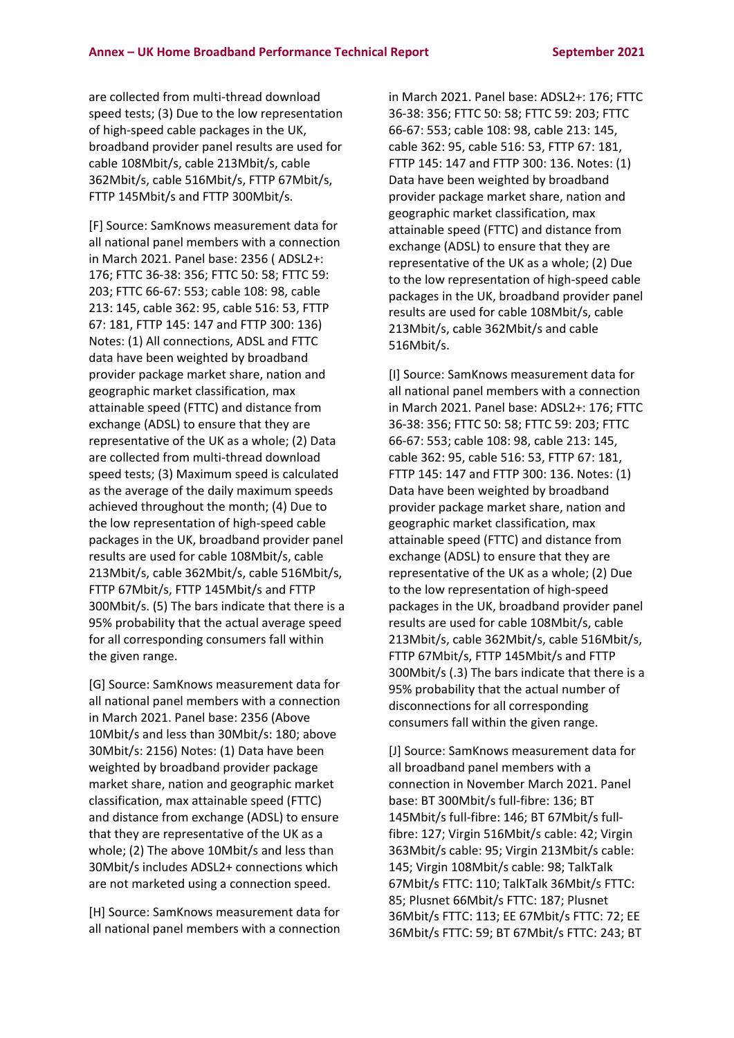are collected from multi-thread download speed tests; (3) Due to the low representation of high-speed cable packages in the UK, broadband provider panel results are used for cable 108Mbit/s, cable 213Mbit/s, cable 362Mbit/s, cable 516Mbit/s, FTTP 67Mbit/s, FTTP 145Mbit/s and FTTP 300Mbit/s.

[F] Source: SamKnows measurement data for all national panel members with a connection in March 2021. Panel base: 2356 ( ADSL2+: 176; FTTC 36-38: 356; FTTC 50: 58; FTTC 59: 203; FTTC 66-67: 553; cable 108: 98, cable 213: 145, cable 362: 95, cable 516: 53, FTTP 67: 181, FTTP 145: 147 and FTTP 300: 136) Notes: (1) All connections, ADSL and FTTC data have been weighted by broadband provider package market share, nation and geographic market classification, max attainable speed (FTTC) and distance from exchange (ADSL) to ensure that they are representative of the UK as a whole; (2) Data are collected from multi-thread download speed tests; (3) Maximum speed is calculated as the average of the daily maximum speeds achieved throughout the month; (4) Due to the low representation of high-speed cable packages in the UK, broadband provider panel results are used for cable 108Mbit/s, cable 213Mbit/s, cable 362Mbit/s, cable 516Mbit/s, FTTP 67Mbit/s, FTTP 145Mbit/s and FTTP 300Mbit/s. (5) The bars indicate that there is a 95% probability that the actual average speed for all corresponding consumers fall within the given range.

[G] Source: SamKnows measurement data for all national panel members with a connection in March 2021. Panel base: 2356 (Above 10Mbit/s and less than 30Mbit/s: 180; above 30Mbit/s: 2156) Notes: (1) Data have been weighted by broadband provider package market share, nation and geographic market classification, max attainable speed (FTTC) and distance from exchange (ADSL) to ensure that they are representative of the UK as a whole; (2) The above 10Mbit/s and less than 30Mbit/s includes ADSL2+ connections which are not marketed using a connection speed.

[H] Source: SamKnows measurement data for all national panel members with a connection

in March 2021. Panel base: ADSL2+: 176; FTTC 36-38: 356; FTTC 50: 58; FTTC 59: 203; FTTC 66-67: 553; cable 108: 98, cable 213: 145, cable 362: 95, cable 516: 53, FTTP 67: 181, FTTP 145: 147 and FTTP 300: 136. Notes: (1) Data have been weighted by broadband provider package market share, nation and geographic market classification, max attainable speed (FTTC) and distance from exchange (ADSL) to ensure that they are representative of the UK as a whole; (2) Due to the low representation of high-speed cable packages in the UK, broadband provider panel results are used for cable 108Mbit/s, cable 213Mbit/s, cable 362Mbit/s and cable 516Mbit/s.

[I] Source: SamKnows measurement data for all national panel members with a connection in March 2021. Panel base: ADSL2+: 176; FTTC 36-38: 356; FTTC 50: 58; FTTC 59: 203; FTTC 66-67: 553; cable 108: 98, cable 213: 145, cable 362: 95, cable 516: 53, FTTP 67: 181, FTTP 145: 147 and FTTP 300: 136. Notes: (1) Data have been weighted by broadband provider package market share, nation and geographic market classification, max attainable speed (FTTC) and distance from exchange (ADSL) to ensure that they are representative of the UK as a whole; (2) Due to the low representation of high-speed packages in the UK, broadband provider panel results are used for cable 108Mbit/s, cable 213Mbit/s, cable 362Mbit/s, cable 516Mbit/s, FTTP 67Mbit/s, FTTP 145Mbit/s and FTTP 300Mbit/s (.3) The bars indicate that there is a 95% probability that the actual number of disconnections for all corresponding consumers fall within the given range.

[J] Source: SamKnows measurement data for all broadband panel members with a connection in November March 2021. Panel base: BT 300Mbit/s full-fibre: 136; BT 145Mbit/s full-fibre: 146; BT 67Mbit/s fullfibre: 127; Virgin 516Mbit/s cable: 42; Virgin 363Mbit/s cable: 95; Virgin 213Mbit/s cable: 145; Virgin 108Mbit/s cable: 98; TalkTalk 67Mbit/s FTTC: 110; TalkTalk 36Mbit/s FTTC: 85; Plusnet 66Mbit/s FTTC: 187; Plusnet 36Mbit/s FTTC: 113; EE 67Mbit/s FTTC: 72; EE 36Mbit/s FTTC: 59; BT 67Mbit/s FTTC: 243; BT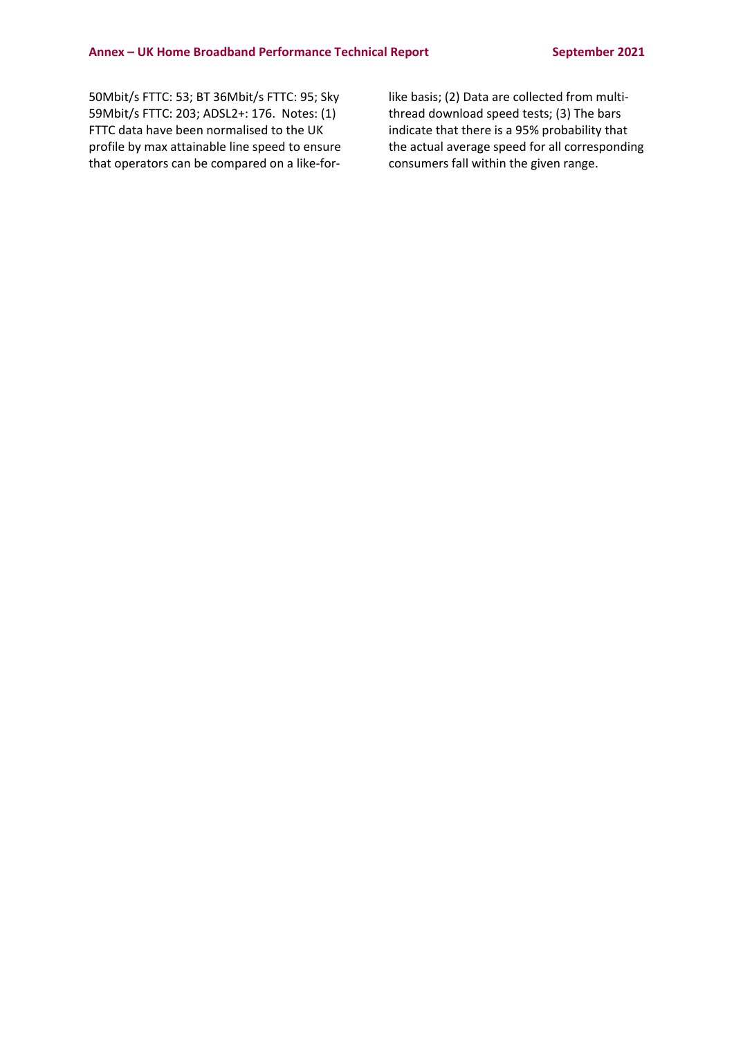50Mbit/s FTTC: 53; BT 36Mbit/s FTTC: 95; Sky 59Mbit/s FTTC: 203; ADSL2+: 176. Notes: (1) FTTC data have been normalised to the UK profile by max attainable line speed to ensure that operators can be compared on a like-forlike basis; (2) Data are collected from multithread download speed tests; (3) The bars indicate that there is a 95% probability that the actual average speed for all corresponding consumers fall within the given range.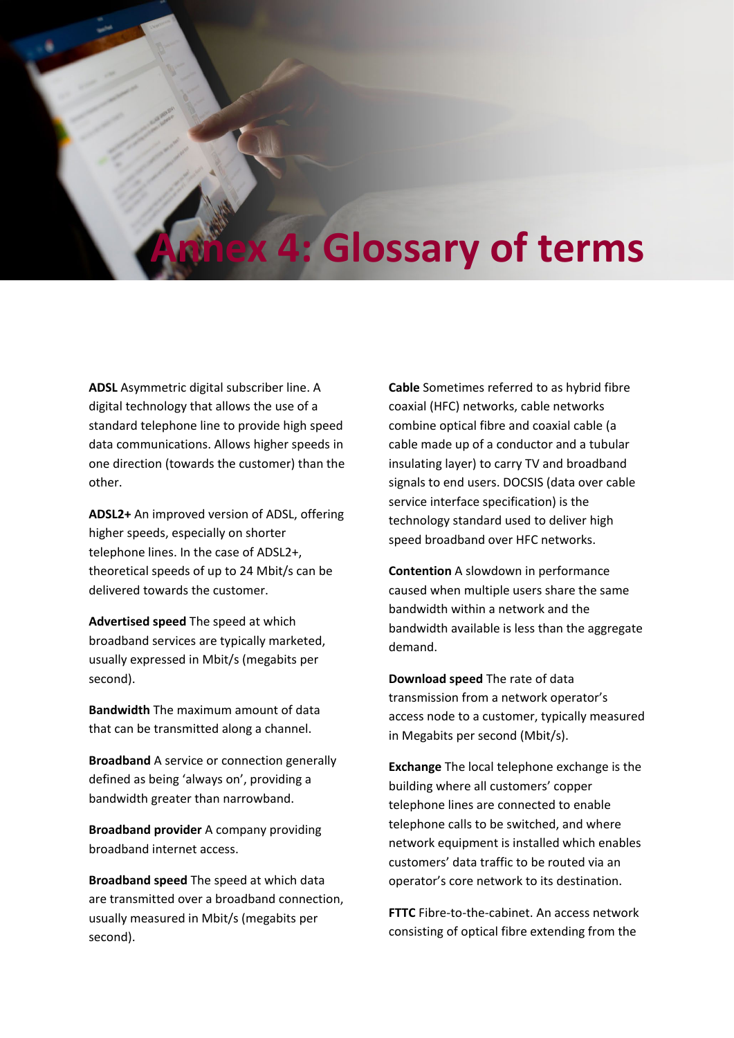# **Annex 4: Glossary of terms**

**ADSL** Asymmetric digital subscriber line. A digital technology that allows the use of a standard telephone line to provide high speed data communications. Allows higher speeds in one direction (towards the customer) than the other.

**ADSL2+** An improved version of ADSL, offering higher speeds, especially on shorter telephone lines. In the case of ADSL2+, theoretical speeds of up to 24 Mbit/s can be delivered towards the customer.

**Advertised speed** The speed at which broadband services are typically marketed, usually expressed in Mbit/s (megabits per second).

**Bandwidth** The maximum amount of data that can be transmitted along a channel.

**Broadband** A service or connection generally defined as being 'always on', providing a bandwidth greater than narrowband.

**Broadband provider** A company providing broadband internet access.

**Broadband speed** The speed at which data are transmitted over a broadband connection, usually measured in Mbit/s (megabits per second).

**Cable** Sometimes referred to as hybrid fibre coaxial (HFC) networks, cable networks combine optical fibre and coaxial cable (a cable made up of a conductor and a tubular insulating layer) to carry TV and broadband signals to end users. DOCSIS (data over cable service interface specification) is the technology standard used to deliver high speed broadband over HFC networks.

**Contention** A slowdown in performance caused when multiple users share the same bandwidth within a network and the bandwidth available is less than the aggregate demand.

**Download speed** The rate of data transmission from a network operator's access node to a customer, typically measured in Megabits per second (Mbit/s).

**Exchange** The local telephone exchange is the building where all customers' copper telephone lines are connected to enable telephone calls to be switched, and where network equipment is installed which enables customers' data traffic to be routed via an operator's core network to its destination.

**FTTC** Fibre-to-the-cabinet. An access network consisting of optical fibre extending from the